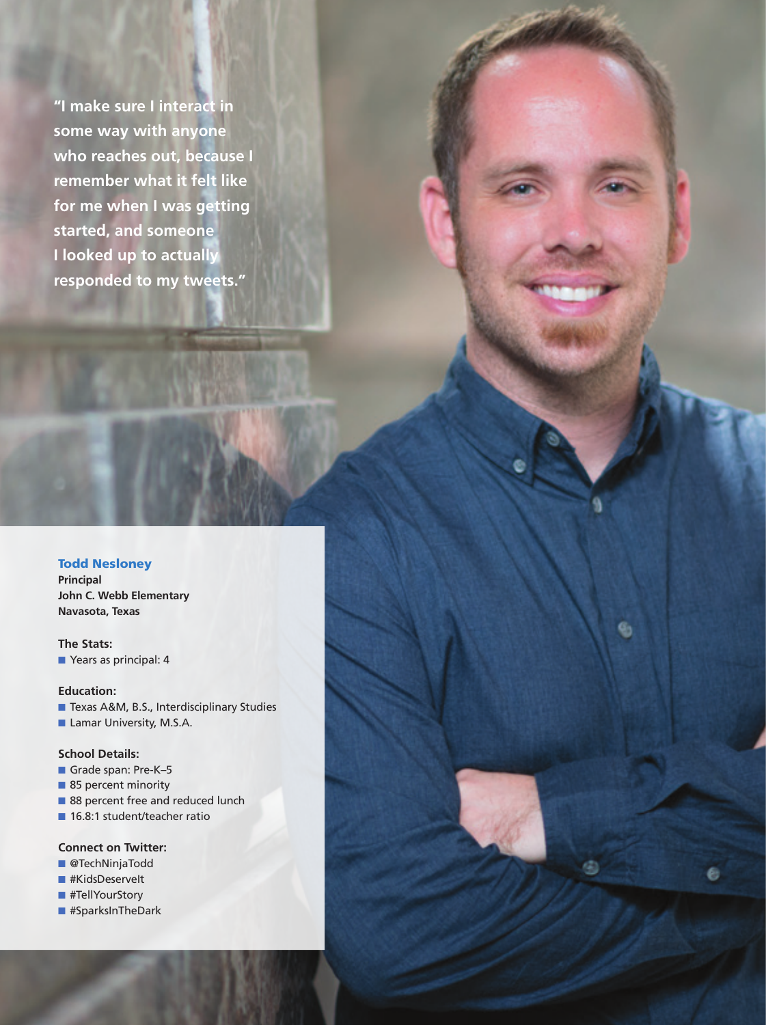**"I make sure I interact in some way with anyone who reaches out, because I remember what it felt like for me when I was getting started, and someone I looked up to actually responded to my tweets."**

#### Todd Nesloney

**Principal John C. Webb Elementary Navasota, Texas**

**The Stats:** ■ Years as principal: 4

#### **Education:**

- Texas A&M, B.S., Interdisciplinary Studies
- Lamar University, M.S.A.

#### **School Details:**

- Grade span: Pre-K-5
- 85 percent minority
- 88 percent free and reduced lunch

**40** Principal n November/December 2018 www.naesp.org

9

■ 16.8:1 student/teacher ratio

## **Connect on Twitter:**

- @TechNinjaTodd
- #KidsDeservelt
- #TellYourStory
- #SparksInTheDark